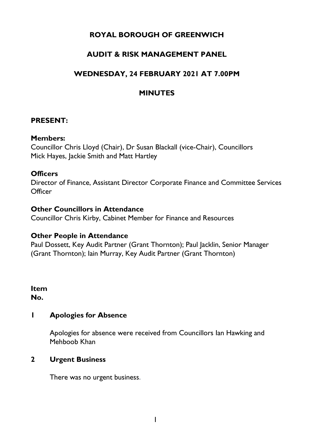# **ROYAL BOROUGH OF GREENWICH**

# **AUDIT & RISK MANAGEMENT PANEL**

# **WEDNESDAY, 24 FEBRUARY 2021 AT 7.00PM**

# **MINUTES**

### **PRESENT:**

#### **Members:**

Councillor Chris Lloyd (Chair), Dr Susan Blackall (vice-Chair), Councillors Mick Hayes, Jackie Smith and Matt Hartley

### **Officers**

Director of Finance, Assistant Director Corporate Finance and Committee Services **Officer** 

#### **Other Councillors in Attendance**

Councillor Chris Kirby, Cabinet Member for Finance and Resources

### **Other People in Attendance**

Paul Dossett, Key Audit Partner (Grant Thornton); Paul Jacklin, Senior Manager (Grant Thornton); Iain Murray, Key Audit Partner (Grant Thornton)

**Item No.** 

### **1 Apologies for Absence**

Apologies for absence were received from Councillors Ian Hawking and Mehboob Khan

### **2 Urgent Business**

There was no urgent business.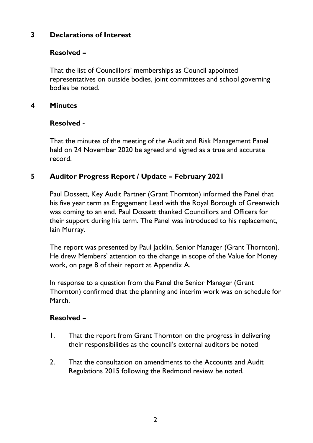# **3 Declarations of Interest**

## **Resolved –**

That the list of Councillors' memberships as Council appointed representatives on outside bodies, joint committees and school governing bodies be noted.

### **4 Minutes**

#### **Resolved -**

That the minutes of the meeting of the Audit and Risk Management Panel held on 24 November 2020 be agreed and signed as a true and accurate record.

## **5 Auditor Progress Report / Update – February 2021**

Paul Dossett, Key Audit Partner (Grant Thornton) informed the Panel that his five year term as Engagement Lead with the Royal Borough of Greenwich was coming to an end. Paul Dossett thanked Councillors and Officers for their support during his term. The Panel was introduced to his replacement, lain Murray.

The report was presented by Paul Jacklin, Senior Manager (Grant Thornton). He drew Members' attention to the change in scope of the Value for Money work, on page 8 of their report at Appendix A.

In response to a question from the Panel the Senior Manager (Grant Thornton) confirmed that the planning and interim work was on schedule for March.

### **Resolved –**

- 1. That the report from Grant Thornton on the progress in delivering their responsibilities as the council's external auditors be noted
- 2. That the consultation on amendments to the Accounts and Audit Regulations 2015 following the Redmond review be noted.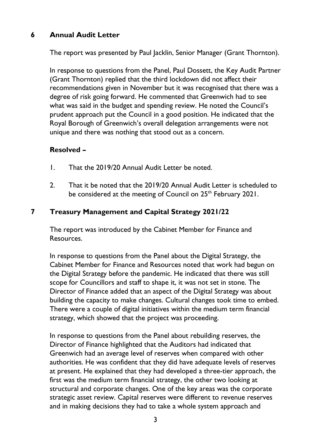## **6 Annual Audit Letter**

The report was presented by Paul Jacklin, Senior Manager (Grant Thornton).

In response to questions from the Panel, Paul Dossett, the Key Audit Partner (Grant Thornton) replied that the third lockdown did not affect their recommendations given in November but it was recognised that there was a degree of risk going forward. He commented that Greenwich had to see what was said in the budget and spending review. He noted the Council's prudent approach put the Council in a good position. He indicated that the Royal Borough of Greenwich's overall delegation arrangements were not unique and there was nothing that stood out as a concern.

### **Resolved –**

- 1. That the 2019/20 Annual Audit Letter be noted.
- 2. That it be noted that the 2019/20 Annual Audit Letter is scheduled to be considered at the meeting of Council on 25<sup>th</sup> February 2021.

### **7 Treasury Management and Capital Strategy 2021/22**

The report was introduced by the Cabinet Member for Finance and Resources.

In response to questions from the Panel about the Digital Strategy, the Cabinet Member for Finance and Resources noted that work had begun on the Digital Strategy before the pandemic. He indicated that there was still scope for Councillors and staff to shape it, it was not set in stone. The Director of Finance added that an aspect of the Digital Strategy was about building the capacity to make changes. Cultural changes took time to embed. There were a couple of digital initiatives within the medium term financial strategy, which showed that the project was proceeding.

In response to questions from the Panel about rebuilding reserves, the Director of Finance highlighted that the Auditors had indicated that Greenwich had an average level of reserves when compared with other authorities. He was confident that they did have adequate levels of reserves at present. He explained that they had developed a three-tier approach, the first was the medium term financial strategy, the other two looking at structural and corporate changes. One of the key areas was the corporate strategic asset review. Capital reserves were different to revenue reserves and in making decisions they had to take a whole system approach and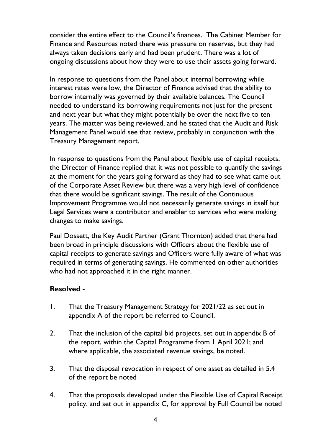consider the entire effect to the Council's finances. The Cabinet Member for Finance and Resources noted there was pressure on reserves, but they had always taken decisions early and had been prudent. There was a lot of ongoing discussions about how they were to use their assets going forward.

In response to questions from the Panel about internal borrowing while interest rates were low, the Director of Finance advised that the ability to borrow internally was governed by their available balances. The Council needed to understand its borrowing requirements not just for the present and next year but what they might potentially be over the next five to ten years. The matter was being reviewed, and he stated that the Audit and Risk Management Panel would see that review, probably in conjunction with the Treasury Management report.

In response to questions from the Panel about flexible use of capital receipts, the Director of Finance replied that it was not possible to quantify the savings at the moment for the years going forward as they had to see what came out of the Corporate Asset Review but there was a very high level of confidence that there would be significant savings. The result of the Continuous Improvement Programme would not necessarily generate savings in itself but Legal Services were a contributor and enabler to services who were making changes to make savings.

Paul Dossett, the Key Audit Partner (Grant Thornton) added that there had been broad in principle discussions with Officers about the flexible use of capital receipts to generate savings and Officers were fully aware of what was required in terms of generating savings. He commented on other authorities who had not approached it in the right manner.

### **Resolved -**

- 1. That the Treasury Management Strategy for 2021/22 as set out in appendix A of the report be referred to Council.
- 2. That the inclusion of the capital bid projects, set out in appendix B of the report, within the Capital Programme from 1 April 2021; and where applicable, the associated revenue savings, be noted.
- 3. That the disposal revocation in respect of one asset as detailed in 5.4 of the report be noted
- 4. That the proposals developed under the Flexible Use of Capital Receipt policy, and set out in appendix C, for approval by Full Council be noted